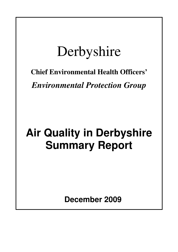# Derbyshire

## **Chief Environmental Health Officers'**

*Environmental Protection Group* 

## **Air Quality in Derbyshire Summary Report**

 **December 2009**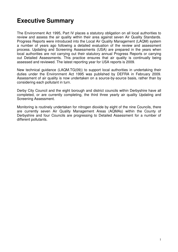#### **Executive Summary**

The Environment Act 1995, Part IV places a statutory obligation on all local authorities to review and assess the air quality within their area against seven Air Quality Standards. Progress Reports were introduced into the Local Air Quality Management (LAQM) system a number of years ago following a detailed evaluation of the review and assessment process. Updating and Screening Assessments (USA) are prepared in the years when local authorities are not carrying out their statutory annual Progress Reports or carrying out Detailed Assessments. This practice ensures that air quality is continually being assessed and reviewed. The latest reporting year for USA reports is 2009.

New technical guidance (LAQM.TG(09)) to support local authorities in undertaking their duties under the Environment Act 1995 was published by DEFRA in February 2009. Assessment of air quality is now undertaken on a source-by-source basis, rather than by considering each pollutant in turn.

Derby City Council and the eight borough and district councils within Derbyshire have all completed, or are currently completing, the third three yearly air quality Updating and Screening Assessment.

Monitoring is routinely undertaken for nitrogen dioxide by eight of the nine Councils, there are currently seven Air Quality Management Areas (AQMAs) within the County of Derbyshire and four Councils are progressing to Detailed Assessment for a number of different pollutants.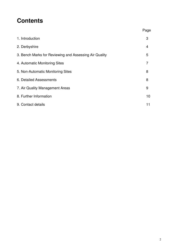#### **Contents**

|                                                        | Page |
|--------------------------------------------------------|------|
| 1. Introduction                                        | 3    |
| 2. Derbyshire                                          | 4    |
| 3. Bench Marks for Reviewing and Assessing Air Quality | 5    |
| 4. Automatic Monitoring Sites                          | 7    |
| 5. Non-Automatic Monitoring Sites                      | 8    |
| 6. Detailed Assessments                                | 8    |
| 7. Air Quality Management Areas                        | 9    |
| 8. Further Information                                 | 10   |
| 9. Contact details                                     | 11   |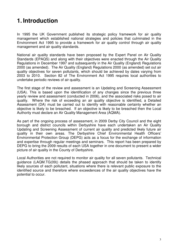#### **1. Introduction**

In 1995 the UK Government published its strategic policy framework for air quality management which established national strategies and policies that culminated in the Environment Act 1995 to provide a framework for air quality control through air quality management and air quality standards.

National air quality standards have been proposed by the Expert Panel on Air Quality Standards (EPAQS) and along with their objectives were enacted through the Air Quality Regulations in December 1997 and subsequently in the Air Quality (England) Regulations 2000 (as amended). The Air Quality (England) Regulations 2000 (as amended) set out air quality objectives for seven pollutants, which should be achieved by dates varying from 2003 to 2010. Section 82 of The Environment Act 1995 requires local authorities to undertake periodic reviews of air quality.

The first stage of the review and assessment is an Updating and Screening Assessment (USA). This is based upon the identification of any changes since the previous three yearly review and assessment (conducted in 2006), and the associated risks posed to air quality. Where the risk of exceeding an air quality objective is identified, a Detailed Assessment (DA) must be carried out to identify with reasonable certainty whether an objective is likely to be breached. If an objective is likely to be breached then the Local Authority must declare an Air Quality Management Area (AQMA).

As part of the ongoing process of assessment, in 2009 Derby City Council and the eight borough and district councils within Derbyshire have each undertaken an Air Quality Updating and Screening Assessment of current air quality and predicted likely future air quality in their own areas. The Derbyshire Chief Environmental Health Officers' Environmental Protection Group (DEPG) acts as a focus for the exchange of information and expertise through regular meetings and seminars. This report has been prepared by DEPG to bring the 2009 results of each USA together in one document to present a wider picture of air quality in the County of Derbyshire.

Local Authorities are not required to monitor air quality for all seven pollutants. Technical guidance (LAQM.TG(09)) details the phased approach that should be taken to identify likely sources of each pollutant, situations where there is relevant public exposure to the identified source and therefore where exceedences of the air quality objectives have the potential to occur.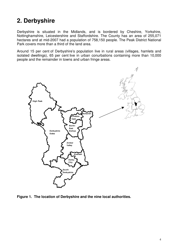#### **2. Derbyshire**

Derbyshire is situated in the Midlands, and is bordered by Cheshire, Yorkshire, Nottinghamshire, Leicestershire and Staffordshire. The County has an area of 255,071 hectares and at mid-2007 had a population of 758,150 people. The Peak District National Park covers more than a third of the land area.

Around 15 per cent of Derbyshire's population live in rural areas (villages, hamlets and isolated dwellings), 65 per cent live in urban conurbations containing more than 10,000 people and the remainder in towns and urban fringe areas.



**Figure 1. The location of Derbyshire and the nine local authorities.**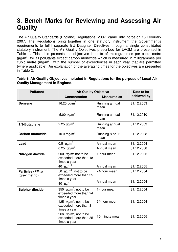#### **3. Bench Marks for Reviewing and Assessing Air Quality**

The Air Quality Standards (England) Regulations 2007 came into force on 15 February 2007. The Regulations bring together in one statutory instrument the Government's requirements to fulfill separate EU Daughter Directives through a single consolidated statutory instrument. The Air Quality Objectives prescribed for LAQM are presented in Table 1. This table presents the objectives in units of microgrammes per cubic metre  $(\mu g/m^3)$  for all pollutants except carbon monoxide which is measured in milligrammes per cubic metre  $(mg/m<sup>3</sup>)$ , with the number of exceedences in each year that are permitted (where applicable). An explanation of the averaging times for the objectives are presented in Table 2.

| Table 1: Air Quality Objectives included in Regulations for the purpose of Local Air |  |
|--------------------------------------------------------------------------------------|--|
| <b>Quality Management in England.</b>                                                |  |

| <b>Pollutant</b>                         | <b>Air Quality Objective</b>                                                                                | Date to be<br>achieved by   |                          |
|------------------------------------------|-------------------------------------------------------------------------------------------------------------|-----------------------------|--------------------------|
|                                          | <b>Concentration</b>                                                                                        | <b>Measured as</b>          |                          |
| <b>Benzene</b>                           | 16.25 $\mu$ g/m <sup>3</sup>                                                                                | Running annual<br>mean      | 31.12.2003               |
|                                          | 5.00 $\mu$ g/m <sup>3</sup>                                                                                 | Running annual<br>mean      | 31.12.2010               |
| 1,3-Butadiene                            | 2.25 $\mu$ g/m <sup>3</sup>                                                                                 | Running annual<br>mean      | 31.12.2003               |
| <b>Carbon monoxide</b>                   | 10.0 mg/m <sup>3</sup>                                                                                      | Running 8-hour<br>mean      | 31.12.2003               |
| Lead                                     | 0.5 $\mu$ g/m <sup>3</sup><br>0.25 $\mu$ g/m <sup>3</sup>                                                   | Annual mean<br>Annual mean  | 31.12.2004<br>31.12.2008 |
| Nitrogen dioxide                         | 200 $\mu$ g/m <sup>3</sup> not to be<br>1-hour mean<br>exceeded more than 18<br>times a year                |                             | 31.12.2005               |
|                                          | 40 $\mu$ g/m <sup>3</sup>                                                                                   | Annual mean                 | 31.12.2005               |
| Particles ( $PM_{10}$ )<br>(gravimetric) | 50 $\mu$ g/m <sup>3</sup> , not to be<br>exceeded more than 35<br>times a year<br>40 $\mu$ g/m <sup>3</sup> | 24-hour mean<br>Annual mean | 31.12.2004<br>31.12.2004 |
| <b>Sulphur dioxide</b>                   | 350 $\mu$ g/m <sup>3</sup> , not to be<br>1-hour mean<br>exceeded more than 24<br>times a year              |                             | 31.12.2004               |
|                                          | 125 $\mu$ g/m <sup>3</sup> , not to be<br>exceeded more than 3<br>times a year                              | 24-hour mean                | 31.12.2004               |
|                                          | 266 $\mu$ g/m <sup>3</sup> , not to be<br>exceeded more than 35<br>times a year                             | 15-minute mean              | 31.12.2005               |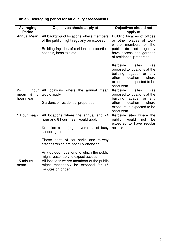| Table 2: Averaging period for air quality assessments |  |
|-------------------------------------------------------|--|
|-------------------------------------------------------|--|

| Averaging<br><b>Period</b>                | Objectives should apply at                                                                                                                                                                                                | <b>Objectives should not</b><br>apply at                                                                                                                                                     |
|-------------------------------------------|---------------------------------------------------------------------------------------------------------------------------------------------------------------------------------------------------------------------------|----------------------------------------------------------------------------------------------------------------------------------------------------------------------------------------------|
| <b>Annual Mean</b>                        | All background locations where members<br>of the public might regularly be exposed<br>Building façades of residential properties,<br>schools, hospitals etc.                                                              | Building façades of offices<br>or other places of work<br>members<br>of the<br>where<br>public<br>do<br>not<br>regularly<br>have access and gardens                                          |
|                                           |                                                                                                                                                                                                                           | of residential properties<br>Kerbside<br>sites<br>(as<br>opposed to locations at the<br>building façade)<br>or any<br>other<br>location<br>where<br>exposure is expected to be<br>short term |
| 24<br>hour<br>&<br>8<br>mean<br>hour mean | All locations where the annual mean<br>would apply<br>Gardens of residential properties                                                                                                                                   | Kerbside<br>sites<br>(as<br>opposed to locations at the<br>building façade) or any<br>location<br>other<br>where<br>exposure is expected to be<br>short term                                 |
| 1 Hour mean                               | All locations where the annual and 24<br>hour and 8 hour mean would apply<br>Kerbside sites (e.g. pavements of busy<br>shopping streets)<br>Those parts of car parks and railway<br>stations which are not fully enclosed | Kerbside sites where the<br>public<br>would<br>not<br>be<br>expected to have regular<br>access                                                                                               |
|                                           | Any outdoor locations to which the public<br>might reasonably to expect access                                                                                                                                            |                                                                                                                                                                                              |
| 15 minute<br>mean                         | All locations where members of the public<br>might reasonably be exposed for 15<br>minutes or longer                                                                                                                      |                                                                                                                                                                                              |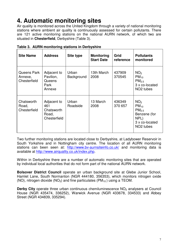#### **4. Automatic monitoring sites**

Air quality is monitored across the United Kingdom through a variety of national monitoring stations where ambient air quality is continuously assessed for certain pollutants. There are 121 active monitoring stations on the national AURN network, of which two are situated in **Chesterfield**, Derbyshire (Table 3).

| <b>Site Name</b>                       | <b>Address</b>                                            | Site type           | <b>Monitoring</b><br><b>Start Date</b> | Grid<br>reference | <b>Pollutants</b><br>monitored                                                                                       |
|----------------------------------------|-----------------------------------------------------------|---------------------|----------------------------------------|-------------------|----------------------------------------------------------------------------------------------------------------------|
| Queens Park<br>Annexe,<br>Chesterfield | Adjacent to<br>Pavilion,<br>Queens<br>Park<br>Annexe      | Urban<br>Background | 13th March<br>2008                     | 437909<br>370545  | NO <sub>2</sub><br>$PM_{10}$<br>PM <sub>2.5</sub><br>3 x co-located<br>NO <sub>2</sub> tubes                         |
| Chatsworth<br>Road,<br>Chesterfield    | Adjacent to<br>461<br>Chatsworth<br>Road,<br>Chesterfield | Urban<br>Roadside   | 13 March<br>2008                       | 436349<br>370 657 | NO <sub>2</sub><br>$PM_{10}$<br>PM <sub>2.5</sub><br>Benzene (for<br>NPL)<br>3 x co-located<br>NO <sub>2</sub> tubes |

**Table 3. AURN monitoring stations in Derbyshire** 

Two further monitoring stations are located close to Derbyshire, at Ladybower Reservoir in South Yorkshire and in Nottingham city centre. The location of all AURN monitoring stations can been seen at: http://www.bv-aurnsiteinfo.co.uk/ and monitoring data is available at http://www.airquality.co.uk/index.php.

Within in Derbyshire there are a number of automatic monitoring sites that are operated by individual local authorities that do not form part of the national AURN network.

**Bolsover District Council** operate an urban background site at Glebe Junior School, Hamlet Lane, South Normanton (NGR 444180, 356353), which monitors nitrogen oxide (NO), nitrogen dioxide (NO<sub>2</sub>) and fine particulates (PM<sub>10</sub>) using a TEOM.

**Derby City** operate three urban continuous chemiluminescence NO<sub>2</sub> analysers at Council House (NGR 435474, 336252), Warwick Avenue (NGR 433678, 334533) and Abbey Street (NGR 434839, 335294).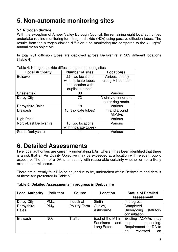#### **5. Non-automatic monitoring sites**

#### **5.1 Nitrogen dioxide**

With the exception of Amber Valley Borough Council, the remaining eight local authorities undertake routine monitoring for nitrogen dioxide  $(NO<sub>2</sub>)$  using passive diffusion tubes. The results from the nitrogen dioxide diffusion tube monitoring are compared to the 40  $\mu$ g/m<sup>3</sup> annual mean objective.

In total 251 diffusion tubes are deployed across Derbyshire at 209 different locations (Table 4).

| <b>Local Authority</b> | <b>Number of sites</b> | Location(s)           |
|------------------------|------------------------|-----------------------|
| <b>Bolsover</b>        | 22 (two locations      | Various, mainly       |
|                        | with triplicate tubes, | along M1 corridor     |
|                        | one location with      |                       |
|                        | duplicate tubes)       |                       |
| Chesterfield           | 38                     | Various               |
| Derby City             | 73                     | Vicinity of inner and |
|                        |                        | outer ring roads.     |
| Derbyshire Dales       | 18                     | Various               |
| Erewash                | 18 (triplicate tubes)  | In and around         |
|                        |                        | <b>AQMAs</b>          |
| <b>High Peak</b>       | 11                     | Various               |
| North-East Derbyshire  | 15 (two locations      | Various               |
|                        | with triplicate tubes) |                       |
| South Derbyshire       |                        | Various               |

Table 4. Nitrogen dioxide diffusion tube monitoring sites

#### **6. Detailed Assessments**

Five local authorities are currently undertaking DAs, where it has been identified that there is a risk that an Air Quality Objective may be exceeded at a location with relevant public exposure. The aim of a DA is to identify with reasonable certainty whether or not a likely exceedence will occur.

There are currently four DAs being, or due to be, undertaken within Derbyshire and details of these are presented in Table 5.

**Table 5. Detailed Assessments in progress in Derbyshire** 

| <b>Local Authority</b> | <b>Pollutant</b> | <b>Source</b>       | Location          | <b>Status of Detailed</b><br><b>Assessment</b> |  |
|------------------------|------------------|---------------------|-------------------|------------------------------------------------|--|
| Derby City             | $PM_{10}$        | Industrial          | Sinfin            | In progress                                    |  |
|                        |                  |                     |                   |                                                |  |
| Derbyshire             | $PM_{10}$        | <b>Poultry Farm</b> | Cubley,           | Completed.                                     |  |
| <b>Dales</b>           |                  |                     | Ashbourne         | Undergoing<br>statutory                        |  |
|                        |                  |                     |                   | consultation.                                  |  |
| Erewash                | NO <sub>2</sub>  | <b>Traffic</b>      | East of the M1 in | Existing AQMAs may                             |  |
|                        |                  |                     | Sandiacre<br>and  | extending.<br>require                          |  |
|                        |                  |                     | Long Eaton.       | Requirement for DA to                          |  |
|                        |                  |                     |                   | reviewed<br>be<br>on.                          |  |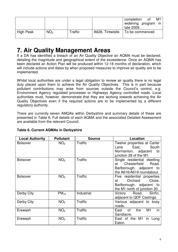|           |                 |         | M1<br>completion<br>0t<br>widening program in<br>late 2009. |
|-----------|-----------------|---------|-------------------------------------------------------------|
| High Peak | NO <sub>2</sub> | Traffic | A628, Tintwistle.   To be commenced                         |

#### **7. Air Quality Management Areas**

If a DA has identified a breach of an Air Quality Objective an AQMA must be declared, detailing the magnitude and geographical extent of the exceedence. Once an AQMA has been declared an Action Plan will be produced within 12-18 months of declaration, which will include actions and dates by when proposed measures to improve air quality are to be implemented.

Whilst local authorities are under a legal obligation to review air quality there is no legal duty placed upon them to achieve the Air Quality Objectives. This is in part because pollutant contributions may arise from sources outside the Council's control, e.g. Environment Agency regulated processes or Highways Agency controlled roads. Local authorities must, however, demonstrate that they are working towards achieving the Air Quality Objectives even if the required actions are to be implemented by a different regulatory authority.

There are currently seven AMQAs within Derbyshire and summary details of these are presented in Table 6. Full details of each AQMA and the associated Detailed Assessment are available from the relevant Council.

| <b>Local Authority</b> | <b>Pollutant</b> | <b>Source</b>  | Location                               |
|------------------------|------------------|----------------|----------------------------------------|
| <b>Bolsover</b>        | NO <sub>2</sub>  | <b>Traffic</b> | Twelve properties at Carter            |
|                        |                  |                | East, East<br>South<br>Lane            |
|                        |                  |                | Normanton, adjacent<br>to              |
|                        |                  |                | junction 28 of the M1.                 |
| <b>Bolsover</b>        | NO <sub>2</sub>  | Traffic        | Single residential dwelling            |
|                        |                  |                | Chesterfield<br>Road,<br>at            |
|                        |                  |                | Barlborough, adjacent to               |
|                        |                  |                | the A616/A619 roundabout.              |
| <b>Bolsover</b>        | NO <sub>2</sub>  | <b>Traffic</b> | Five residential properties            |
|                        |                  |                | Close,<br>Orchard<br>at                |
|                        |                  |                | Barlborough, adjacent to               |
|                        |                  |                | the M1 north of junction 30.           |
| Derby City             | $PM_{10}$        | Industrial     | Victory Road, Sinfin,                  |
|                        |                  |                | adjacent to QDF Castings.              |
| Derby City             | NO <sub>2</sub>  | Traffic        | Various adjacent to busy               |
|                        |                  |                | roads.                                 |
| Erewash                | NO <sub>2</sub>  | Traffic        | in<br>M <sub>1</sub><br>East of<br>the |
|                        |                  |                | Sandiacre.                             |
| Erewash                | NO <sub>2</sub>  | <b>Traffic</b> | East of the M1<br>in Long              |
|                        |                  |                | Eaton.                                 |

#### **Table 6. Current AQMAs in Derbyshire**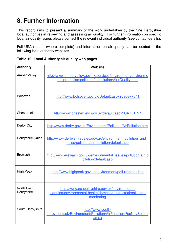### **8. Further Information**

This report aims to present a summary of the work undertaken by the nine Derbyshire local authorities in reviewing and assessing air quality. For further information on specific local air quality issues please contact the relevant individual authority (see contact details).

Full USA reports (where complete) and information on air quality can be located at the following local authority websites.

| <b>Authority</b>         | <b>Website</b>                                                                                                               |
|--------------------------|------------------------------------------------------------------------------------------------------------------------------|
| <b>Amber Valley</b>      | http://www.ambervalley.gov.uk/services/environment/environme<br>ntalprotection/pollution/airpollution/Air+Quality.htm        |
| <b>Bolsover</b>          | http://www.bolsover.gov.uk/Default.aspx?page=7341                                                                            |
| Chesterfield             | http://www.chesterfield.gov.uk/default.aspx?CATID=57                                                                         |
| Derby City               | http://www.derby.gov.uk/Environment/Pollution/AirPollution.htm                                                               |
| Derbyshire Dales         | http://www.derbyshiredales.gov.uk/environment pollution and<br>noise/pollution/air pollution/default.asp                     |
| Erewash                  | http://www.erewash.gov.uk/environmental issues/pollution/air p<br>ollution/default.asp                                       |
| <b>High Peak</b>         | http://www.highpeak.gov.uk/environment/pollution.asp#air                                                                     |
| North East<br>Derbyshire | http://www.ne-derbyshire.gov.uk/environment--<br>planning/environmental-health/domestic--industrial/pollution-<br>monitoring |
| South Derbyshire         | http://www.south-<br>derbys.gov.uk/Environment/Pollution/AirPollution/?qsNavSetting<br>$=$ max                               |

| Table 10: Local Authority air quality web pages |  |  |  |
|-------------------------------------------------|--|--|--|
|-------------------------------------------------|--|--|--|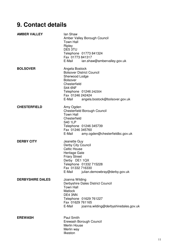### **9. Contact details**

| <b>AMBER VALLEY</b>     | lan Shaw<br>Amber Valley Borough Council<br><b>Town Hall</b><br>Ripley<br>DE5 3TU<br>Telephone 01773 841324<br>Fax 01773 841317<br>E-Mail<br>ian.shaw@ambervalley.gov.uk                                            |
|-------------------------|---------------------------------------------------------------------------------------------------------------------------------------------------------------------------------------------------------------------|
| <b>BOLSOVER</b>         | Angela Bostock<br><b>Bolsover District Council</b><br>Sherwood Lodge<br><b>Bolsover</b><br>Chesterfield<br><b>S44 6NF</b><br>Telephone 01246 242304<br>Fax 01246 242424<br>E-Mail<br>angela.bostock@bolsover.gov.uk |
| <b>CHESTERFIELD</b>     | Amy Ogden<br><b>Chesterfield Borough Council</b><br><b>Town Hall</b><br>Chesterfield<br><b>S40 1LP</b><br>Telephone 01246 345739<br>Fax 01246 345760<br>amy.ogden@chesterfieldbc.gov.uk<br>E-Mail                   |
| <b>DERBY CITY</b>       | Jeanette Guy<br>Derby City Council<br><b>Celtic House</b><br>Heritage Gate<br><b>Friary Street</b><br>Derby DE1 1QX<br>Telephone 01332 715228<br>Fax 01332 716330<br>E-Mail<br>julian.demowbray@derby.gov.uk        |
| <b>DERBYSHIRE DALES</b> | Joanna Wilding<br>Derbyshire Dales District Council<br><b>Town Hall</b><br>Matlock<br>DE4 3NN<br>Telephone 01629 761227<br>Fax 01629 761165<br>E-Mail<br>joanna.wilding@derbyshiredales.gov.uk                      |
| <b>EREWASH</b>          | Paul Smith<br>Erewash Borough Council<br>Merlin House<br>Merlin way<br>Ilkeston                                                                                                                                     |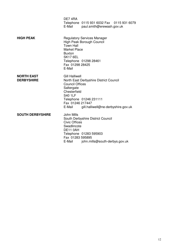|                                        | DE74RA<br>E-Mail                                                                                                              | Telephone 0115 931 6032 Fax 0115 931 6079<br>paul.smith@erewash.gov.uk                                  |
|----------------------------------------|-------------------------------------------------------------------------------------------------------------------------------|---------------------------------------------------------------------------------------------------------|
| <b>HIGH PEAK</b>                       | <b>Town Hall</b><br><b>Market Place</b><br><b>Buxton</b><br><b>SK17 6EL</b><br>Fax 01298 28425<br>E-Mail                      | <b>Regulatory Services Manager</b><br>High Peak Borough Council<br>Telephone 01298 28461                |
| <b>NORTH EAST</b><br><b>DERBYSHIRE</b> | <b>Gill Halliwell</b><br><b>Council Offices</b><br>Saltergate<br>Chesterfield<br><b>S40 1LF</b><br>Fax 01246 217447<br>E-Mail | North East Derbyshire District Council<br>Telephone 01246 231111<br>gill.halliwell@ne-derbyshire.gov.uk |
| <b>SOUTH DERBYSHIRE</b>                | John Mills<br><b>Civic Offices</b><br>Swadlincote<br>DE11 0AH<br>Fax 01283 595895<br>E-Mail                                   | South Derbyshire District Council<br>Telephone 01283 595903<br>john.mills@south-derbys.gov.uk           |